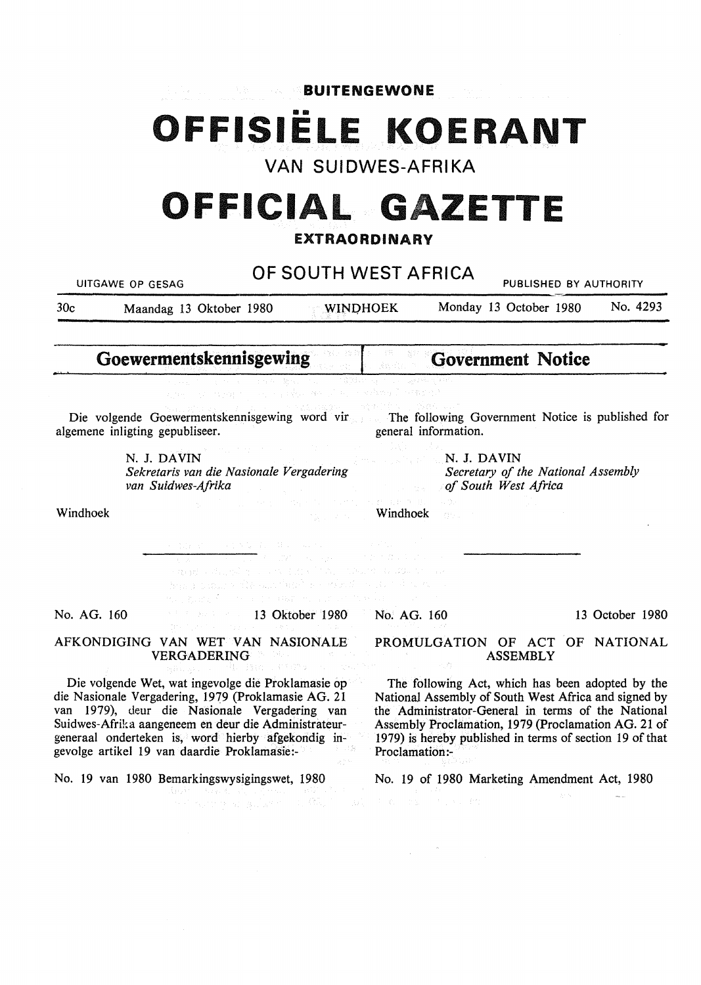**BUITENGEWONE** 

# **1111 OFFISIELE KOERANT**

VAN SUIDWES-AFRIKA

# **OFFICIAL GAZETTE**

### **EXTRAORDINARY**

| Maandag 13 Oktober 1980<br><b>Goewermentskennisgewing</b> | OF SOUTH WEST AFRICA<br><b>WINDHOEK</b><br>a professores of a proceeding D                     |                                                                                                                                                                                                                                                                                                                                                                                                                                                                                                                                                                                                                                                                                                                                           |                                                                                                                                                                                                                                                                                                                       | Monday 13 October 1980                                                                                                                                                                                                                                                                                                                                                | PUBLISHED BY AUTHORITY                | No. 4293                                                                                                                                                                                                                                                                                                                                                                                                                                                                |  |  |
|-----------------------------------------------------------|------------------------------------------------------------------------------------------------|-------------------------------------------------------------------------------------------------------------------------------------------------------------------------------------------------------------------------------------------------------------------------------------------------------------------------------------------------------------------------------------------------------------------------------------------------------------------------------------------------------------------------------------------------------------------------------------------------------------------------------------------------------------------------------------------------------------------------------------------|-----------------------------------------------------------------------------------------------------------------------------------------------------------------------------------------------------------------------------------------------------------------------------------------------------------------------|-----------------------------------------------------------------------------------------------------------------------------------------------------------------------------------------------------------------------------------------------------------------------------------------------------------------------------------------------------------------------|---------------------------------------|-------------------------------------------------------------------------------------------------------------------------------------------------------------------------------------------------------------------------------------------------------------------------------------------------------------------------------------------------------------------------------------------------------------------------------------------------------------------------|--|--|
|                                                           |                                                                                                |                                                                                                                                                                                                                                                                                                                                                                                                                                                                                                                                                                                                                                                                                                                                           |                                                                                                                                                                                                                                                                                                                       |                                                                                                                                                                                                                                                                                                                                                                       |                                       |                                                                                                                                                                                                                                                                                                                                                                                                                                                                         |  |  |
|                                                           |                                                                                                |                                                                                                                                                                                                                                                                                                                                                                                                                                                                                                                                                                                                                                                                                                                                           |                                                                                                                                                                                                                                                                                                                       |                                                                                                                                                                                                                                                                                                                                                                       |                                       |                                                                                                                                                                                                                                                                                                                                                                                                                                                                         |  |  |
|                                                           |                                                                                                |                                                                                                                                                                                                                                                                                                                                                                                                                                                                                                                                                                                                                                                                                                                                           |                                                                                                                                                                                                                                                                                                                       | <b>Government Notice</b>                                                                                                                                                                                                                                                                                                                                              |                                       |                                                                                                                                                                                                                                                                                                                                                                                                                                                                         |  |  |
|                                                           |                                                                                                |                                                                                                                                                                                                                                                                                                                                                                                                                                                                                                                                                                                                                                                                                                                                           |                                                                                                                                                                                                                                                                                                                       |                                                                                                                                                                                                                                                                                                                                                                       |                                       |                                                                                                                                                                                                                                                                                                                                                                                                                                                                         |  |  |
| algemene inligting gepubliseer.                           | Die volgende Goewermentskennisgewing word vir The following Government Notice is published for | general information.                                                                                                                                                                                                                                                                                                                                                                                                                                                                                                                                                                                                                                                                                                                      |                                                                                                                                                                                                                                                                                                                       |                                                                                                                                                                                                                                                                                                                                                                       |                                       |                                                                                                                                                                                                                                                                                                                                                                                                                                                                         |  |  |
|                                                           |                                                                                                |                                                                                                                                                                                                                                                                                                                                                                                                                                                                                                                                                                                                                                                                                                                                           |                                                                                                                                                                                                                                                                                                                       |                                                                                                                                                                                                                                                                                                                                                                       |                                       |                                                                                                                                                                                                                                                                                                                                                                                                                                                                         |  |  |
|                                                           |                                                                                                |                                                                                                                                                                                                                                                                                                                                                                                                                                                                                                                                                                                                                                                                                                                                           |                                                                                                                                                                                                                                                                                                                       |                                                                                                                                                                                                                                                                                                                                                                       |                                       |                                                                                                                                                                                                                                                                                                                                                                                                                                                                         |  |  |
|                                                           |                                                                                                |                                                                                                                                                                                                                                                                                                                                                                                                                                                                                                                                                                                                                                                                                                                                           |                                                                                                                                                                                                                                                                                                                       |                                                                                                                                                                                                                                                                                                                                                                       |                                       |                                                                                                                                                                                                                                                                                                                                                                                                                                                                         |  |  |
|                                                           |                                                                                                |                                                                                                                                                                                                                                                                                                                                                                                                                                                                                                                                                                                                                                                                                                                                           |                                                                                                                                                                                                                                                                                                                       |                                                                                                                                                                                                                                                                                                                                                                       |                                       |                                                                                                                                                                                                                                                                                                                                                                                                                                                                         |  |  |
|                                                           |                                                                                                |                                                                                                                                                                                                                                                                                                                                                                                                                                                                                                                                                                                                                                                                                                                                           |                                                                                                                                                                                                                                                                                                                       |                                                                                                                                                                                                                                                                                                                                                                       |                                       | 13 October 1980                                                                                                                                                                                                                                                                                                                                                                                                                                                         |  |  |
|                                                           |                                                                                                |                                                                                                                                                                                                                                                                                                                                                                                                                                                                                                                                                                                                                                                                                                                                           |                                                                                                                                                                                                                                                                                                                       |                                                                                                                                                                                                                                                                                                                                                                       |                                       |                                                                                                                                                                                                                                                                                                                                                                                                                                                                         |  |  |
|                                                           |                                                                                                |                                                                                                                                                                                                                                                                                                                                                                                                                                                                                                                                                                                                                                                                                                                                           |                                                                                                                                                                                                                                                                                                                       |                                                                                                                                                                                                                                                                                                                                                                       |                                       |                                                                                                                                                                                                                                                                                                                                                                                                                                                                         |  |  |
|                                                           |                                                                                                |                                                                                                                                                                                                                                                                                                                                                                                                                                                                                                                                                                                                                                                                                                                                           |                                                                                                                                                                                                                                                                                                                       |                                                                                                                                                                                                                                                                                                                                                                       |                                       |                                                                                                                                                                                                                                                                                                                                                                                                                                                                         |  |  |
|                                                           | N. J. DAVIN<br>van Suidwes-Afrika<br>$A_1,\ldots,A_{n-1}$<br><b>VERGADERING</b>                | Sekretaris van die Nasionale Vergadering<br>$\label{eq:2.1} \Omega^{\alpha_1}(\mathbb{R}^3,\mathbb{R}^3,\mathbb{R}^3,\mathbb{R}^3,\mathbb{R}^3,\mathbb{R}^3,\mathbb{R}^3,\mathbb{R}^3,\mathbb{R}^3,\mathbb{R}^3,\mathbb{R}^3,\mathbb{R}^3,\mathbb{R}^3)$<br>AFKONDIGING VAN WET VAN NASIONALE<br>Administration of the Party of the Communist Communist Party<br>Die volgende Wet, wat ingevolge die Proklamasie op<br>die Nasionale Vergadering, 1979 (Proklamasie AG. 21<br>van 1979), deur die Nasionale Vergadering van<br>Suidwes-Afrika aangeneem en deur die Administrateur-<br>generaal onderteken is, word hierby afgekondig in-<br>gevolge artikel 19 van daardie Proklamasie:-<br>No. 19 van 1980 Bemarkingswysigingswet, 1980 | <b>Example 2018</b> Windhoek<br>a (1979), provincia de la provincia de la contrada de la provincia de la provincia de la provincia de la provi<br>En 1972, provincia de la provincia de la provincia de la provincia de la provincia de la provincia de la provi<br>me, formal companies and means of the American of | 中国 (1994年) TV (1997年) 保健 (4世 年) 4月 5日<br>计内线 医心包<br>stand with the contract of the condition of the standard<br>ให้คุณ 3 ประธาน หากให้ หมวง ไทยที่ 15 จากที่เหนือ จากและ จากที่ จะ จะ จาก<br>13 Oktober 1980 No. AG. 160<br>Proclamation:-<br>ಡಿದ್ದರು. ಹಿಡಿದ ಪ್ರಸ್ತಾರವನ್ನು ಸಾಹಿತಿಸಿದ್ದರು.<br>ಬಾಲಿನ್ಯಾಯ್ಡ್ ಮತ್ತಿದ್ದಿದ್ದರು. ಪ್ರಾಣಿಷ್ಠಿಯ ಪ್ರಾಣಿ ಕಾರ್ಯದಲ್ಲಿ ಬಾಲಿನ್ ಸಾಹಿತಿ | <b>Mark Company of South J. DAVIN</b> | Secretary of the National Assembly<br><b>Example 20 of South West Africa</b><br>PROMULGATION OF ACT OF NATIONAL<br><b>ASSEMBLY</b><br>The following Act, which has been adopted by the<br>National Assembly of South West Africa and signed by<br>the Administrator-General in terms of the National<br>Assembly Proclamation, 1979 (Proclamation AG. 21 of<br>1979) is hereby published in terms of section 19 of that<br>No. 19 of 1980 Marketing Amendment Act, 1980 |  |  |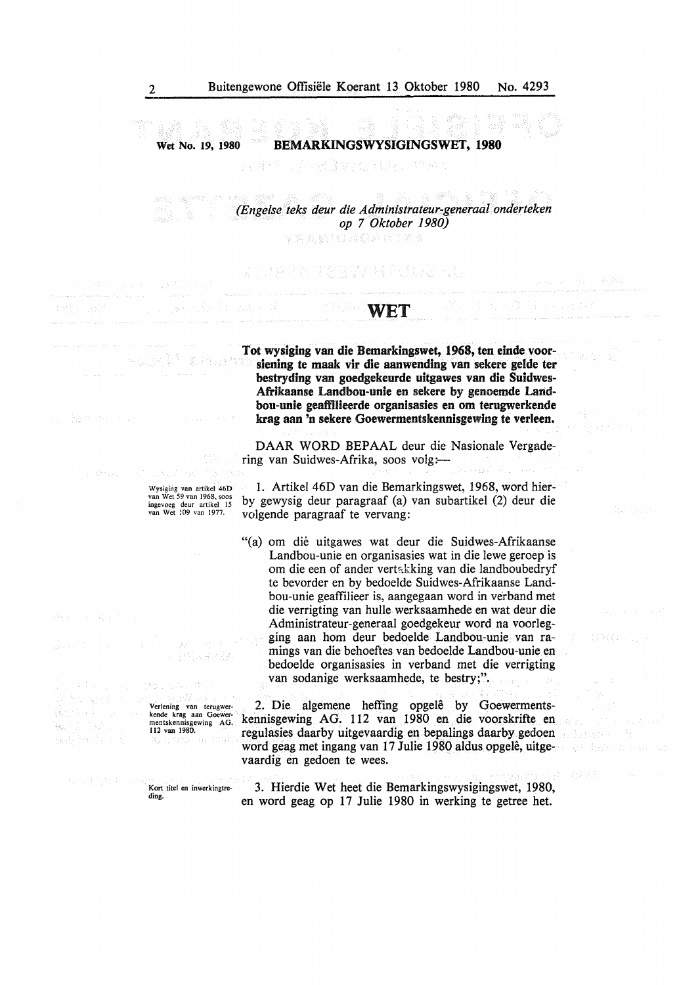### Wet No. 19, 1980 BEMARKINGSWYSIGINGSWET, 1980

a sin *(Engelse teks deur die Administrateur-generaal onderteken op* 7 *Oktober 1980)*  RAMICADARIAN

#### WET

**Tot wysiging van die Bemarkingswet, 1968, ten einde voorsiening te maak vir die aanwending van sekere gelde ter bestryding van goedgekeurde uitgawes van die Suidwes-Afrikaanse Landbou-unie en sekere by genoemde Landbou-unie geaffiUeerde organisasies en om terugwerkende krag aan 'n sekere Goewermentskennisgewing te verleen.** 

> DAAR WORD BEPAAL deur die Nasionale Vergadering van Suidwes-Afrika, soos volg;

Wysiging van artikel 46D<br>van Wet 59 van 1968, soos<br>ingevoeg deur artikel 15<br>van Wet 109 van 1977.

Verlening van terugwerkende krag aan Goe mentskennisgewing AG. 112 van 1980.

u) P

년 6월 4일 달 달 동

 $\gamma\in\mathbb{R}$ 

Kort titel en inwerkingtre-

ding.

 $\widetilde{\mathcal{F}}_{i,j}$ 

ねって こぼう

maya El

1. Artikel 46D van die Bemarkingswet, 1968, word hierby gewysig deur paragraaf (a) van subartikel (2) deur die volgende paragraaf te vervang:

"(a) om die uitgawes wat deur die Suidwes-Afrikaanse Landbou-unie en organisasies wat in die lewe geroep is om die een of ander vertakking van die landboubedryf te bevorder en by bedoelde Suidwes-Afrikaanse Landbou-unie geaffilieer is, aangegaan word in verband met die verrigting van hulle werksaamhede en wat deur die Administrateur-generaal goedgekeur word na voorlegging aan horn deur bedoelde Landbou-unie van ramings van die behoeftes van bedoelde Landbou-unie en bedoelde organisasies in verband met die verrigting van sodanige werksaamhede, te bestry;".

2. Die algemene heffing opgelê by Goewermentskennisgewing AG. 112 van 1980 en die voorskrifte en regulasies daarby uitgevaardig en bepalings daarby gedoen word geag met ingang van 17 Julie 1980 aldus opgele, uitgevaardig en gedoen te wees.

3. Hierdie Wet beet die Bemarkingswysigingswet, 1980, en word geag op 17 Julie 1980 in werking te getree het.

33.33